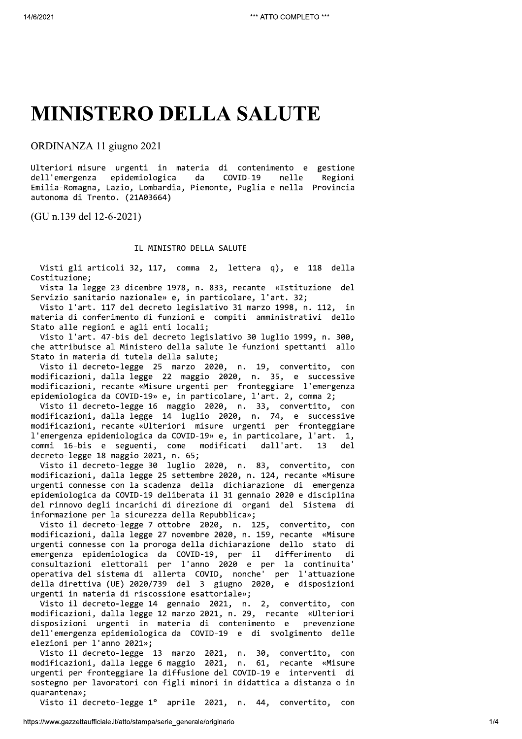## **MINISTERO DELLA SALUTE**

ORDINANZA 11 giugno 2021

Ulteriori misure urgenti in materia di contenimento e gestione dell'emergenza epidemiologica da COVID-19 nelle Regioni Emilia-Romagna, Lazio, Lombardia, Piemonte, Puglia e nella Provincia autonoma di Trento. (21A03664)

(GU n.139 del 12-6-2021)

## IL MINISTRO DELLA SALUTE

Visti gli articoli 32, 117, comma 2, lettera q), e 118 della Costituzione:

Vista la legge 23 dicembre 1978, n. 833, recante «Istituzione del Servizio sanitario nazionale» e, in particolare, l'art. 32;

Visto l'art. 117 del decreto legislativo 31 marzo 1998, n. 112, in materia di conferimento di funzioni e compiti amministrativi dello Stato alle regioni e agli enti locali;

Visto l'art. 47-bis del decreto legislativo 30 luglio 1999, n. 300, che attribuisce al Ministero della salute le funzioni spettanti allo Stato in materia di tutela della salute;

Visto il decreto-legge 25 marzo 2020, n. 19, convertito, con modificazioni, dalla legge 22 maggio 2020, n. 35, e successive modificazioni, recante «Misure urgenti per fronteggiare l'emergenza epidemiologica da COVID-19» e, in particolare, l'art. 2, comma 2;

Visto il decreto-legge 16 maggio 2020, n. 33, convertito, con modificazioni, dalla legge 14 luglio 2020, n. 74, e successive modificazioni, recante «Ulteriori misure urgenti per fronteggiare l'emergenza epidemiologica da COVID-19» e, in particolare, l'art. 1, commi 16-bis e seguenti, come modificati dall'art. 13 del decreto-legge 18 maggio 2021, n. 65;

Visto il decreto-legge 30 luglio 2020, n. 83, convertito, con modificazioni, dalla legge 25 settembre 2020, n. 124, recante «Misure urgenti connesse con la scadenza della dichiarazione di emergenza epidemiologica da COVID-19 deliberata il 31 gennaio 2020 e disciplina del rinnovo degli incarichi di direzione di organi del Sistema di informazione per la sicurezza della Repubblica»;

Visto il decreto-legge 7 ottobre 2020, n. 125, convertito, con modificazioni, dalla legge 27 novembre 2020, n. 159, recante «Misure urgenti connesse con la proroga della dichiarazione dello stato di emergenza epidemiologica da COVID-19, per il differimento di consultazioni elettorali per l'anno 2020 e per la continuita' per l'attuazione operativa del sistema di allerta COVID, nonche' della direttiva (UE) 2020/739 del 3 giugno 2020, e disposizioni urgenti in materia di riscossione esattoriale»:

Visto il decreto-legge 14 gennaio 2021, n. 2, convertito, con modificazioni, dalla legge 12 marzo 2021, n. 29, recante «Ulteriori disposizioni urgenti in materia di contenimento e prevenzione dell'emergenza epidemiologica da COVID-19 e di svolgimento delle elezioni per l'anno 2021»;

Visto il decreto-legge 13 marzo 2021, n. 30, convertito, con modificazioni, dalla legge 6 maggio 2021, n. 61, recante «Misure urgenti per fronteggiare la diffusione del COVID-19 e interventi di sostegno per lavoratori con figli minori in didattica a distanza o in quarantena»;

Visto il decreto-legge 1° aprile 2021, n. 44, convertito, con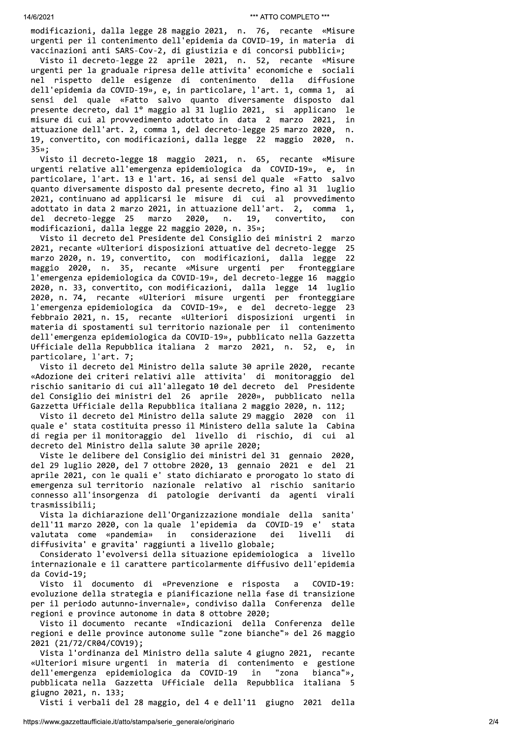modificazioni, dalla legge 28 maggio 2021, n. 76, recante «Misure urgenti per il contenimento dell'epidemia da COVID-19, in materia di vaccinazioni anti SARS-Cov-2, di giustizia e di concorsi pubblici»;

Visto il decreto-legge 22 aprile 2021, n. 52, recante «Misure urgenti per la graduale ripresa delle attivita' economiche e sociali nel rispetto delle esigenze di contenimento diffusione della dell'epidemia da COVID-19», e, in particolare, l'art. 1, comma 1, ai sensi del quale «Fatto salvo quanto diversamente disposto dal presente decreto, dal 1º maggio al 31 luglio 2021, si applicano le misure di cui al provvedimento adottato in data 2 marzo 2021, in attuazione dell'art. 2, comma 1, del decreto-legge 25 marzo 2020,  $n$ . 19, convertito, con modificazioni, dalla legge 22 maggio 2020,  $n$ .  $35<sub>n</sub>$ ;

Visto il decreto-legge 18 maggio 2021, n. 65, recante «Misure urgenti relative all'emergenza epidemiologica da COVID-19», e, in particolare, l'art. 13 e l'art. 16, ai sensi del quale «Fatto salvo quanto diversamente disposto dal presente decreto, fino al 31 luglio 2021, continuano ad applicarsi le misure di cui al provvedimento adottato in data 2 marzo 2021, in attuazione dell'art. 2, comma 1, del decreto-legge 25 marzo 2020,  $n.$ 19, convertito, con modificazioni, dalla legge 22 maggio 2020, n. 35»;

Visto il decreto del Presidente del Consiglio dei ministri 2 marzo 2021, recante «Ulteriori disposizioni attuative del decreto-legge 25 marzo 2020, n. 19, convertito, con modificazioni, dalla legge 22 maggio 2020, n. 35, recante «Misure urgenti per fronteggiare l'emergenza epidemiologica da COVID-19», del decreto-legge 16 maggio 2020, n. 33, convertito, con modificazioni, dalla legge 14 luglio 2020, n. 74, recante «Ulteriori misure urgenti per fronteggiare l'emergenza epidemiologica da COVID-19», e del decreto-legge 23 febbraio 2021, n. 15, recante «Ulteriori disposizioni urgenti in materia di spostamenti sul territorio nazionale per il contenimento dell'emergenza epidemiologica da COVID-19», pubblicato nella Gazzetta Ufficiale della Repubblica italiana 2 marzo 2021, n. 52, e, in particolare, l'art. 7;

Visto il decreto del Ministro della salute 30 aprile 2020, recante «Adozione dei criteri relativi alle attivita' di monitoraggio del rischio sanitario di cui all'allegato 10 del decreto del Presidente del Consiglio dei ministri del 26 aprile 2020», pubblicato nella Gazzetta Ufficiale della Repubblica italiana 2 maggio 2020, n. 112;

Visto il decreto del Ministro della salute 29 maggio 2020 con il quale e' stata costituita presso il Ministero della salute la Cabina di regia per il monitoraggio del livello di rischio, di cui  $a1$ decreto del Ministro della salute 30 aprile 2020;

Viste le delibere del Consiglio dei ministri del 31 gennaio 2020, del 29 luglio 2020, del 7 ottobre 2020, 13 gennaio 2021 e del 21 aprile 2021, con le quali e' stato dichiarato e prorogato lo stato di emergenza sul territorio nazionale relativo al rischio sanitario connesso all'insorgenza di patologie derivanti da agenti virali trasmissibili;

Vista la dichiarazione dell'Organizzazione mondiale della sanita' dell'11 marzo 2020, con la quale l'epidemia da COVID-19 e' stata valutata come «pandemia» in considerazione dei livelli di diffusivita' e gravita' raggiunti a livello globale;

Considerato l'evolversi della situazione epidemiologica a livello internazionale e il carattere particolarmente diffusivo dell'epidemia da Covid-19:

Visto il documento di «Prevenzione e risposta  $COVID-19:$  $\overline{a}$ evoluzione della strategia e pianificazione nella fase di transizione per il periodo autunno-invernale», condiviso dalla Conferenza delle regioni e province autonome in data 8 ottobre 2020;

Visto il documento recante «Indicazioni della Conferenza delle regioni e delle province autonome sulle "zone bianche"» del 26 maggio 2021 (21/72/CR04/COV19);

Vista l'ordinanza del Ministro della salute 4 giugno 2021, recante «Ulteriori misure urgenti in materia di contenimento e gestione dell'emergenza epidemiologica da COVID-19 "zona in bianca"», pubblicata nella Gazzetta Ufficiale della Repubblica italiana giugno 2021, n. 133;

Visti i verbali del 28 maggio, del 4 e dell'11 giugno 2021 della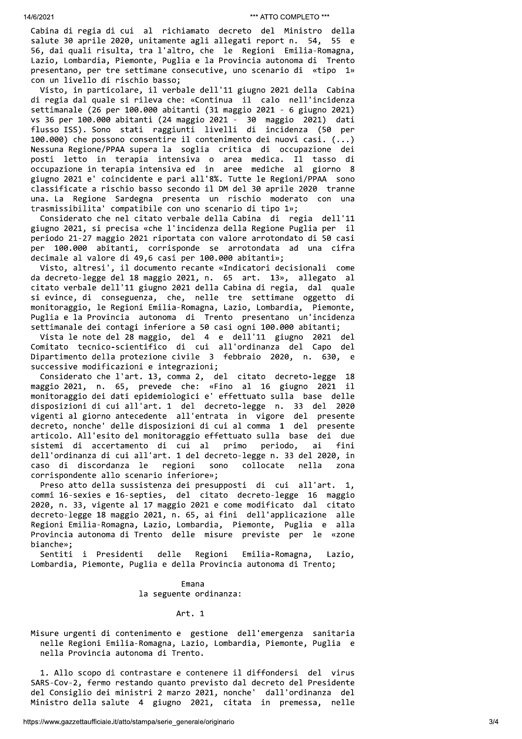Cabina di regia di cui al richiamato decreto del Ministro della salute 30 aprile 2020, unitamente agli allegati report n. 54, 55 e 56, dai quali risulta, tra l'altro, che le Regioni Emilia-Romagna, Lazio, Lombardia, Piemonte, Puglia e la Provincia autonoma di Trento presentano, per tre settimane consecutive, uno scenario di «tipo 1» con un livello di rischio basso;

Visto, in particolare, il verbale dell'11 giugno 2021 della Cabina di regia dal quale si rileva che: «Continua il calo nell'incidenza settimanale (26 per 100.000 abitanti (31 maggio 2021 - 6 giugno 2021) vs 36 per 100.000 abitanti (24 maggio 2021 - 30 maggio 2021) dati flusso ISS). Sono stati raggiunti livelli di incidenza (50 per 100.000) che possono consentire il contenimento dei nuovi casi. (...) Nessuna Regione/PPAA supera la soglia critica di occupazione dei posti letto in terapia intensiva o area medica. Il tasso di occupazione in terapia intensiva ed in aree mediche al giorno 8 giugno 2021 e' coincidente e pari all'8%. Tutte le Regioni/PPAA sono classificate a rischio basso secondo il DM del 30 aprile 2020 tranne una. La Regione Sardegna presenta un rischio moderato con una trasmissibilita' compatibile con uno scenario di tipo 1»;

Considerato che nel citato verbale della Cabina di regia dell'11 giugno 2021, si precisa «che l'incidenza della Regione Puglia per il periodo 21-27 maggio 2021 riportata con valore arrotondato di 50 casi per 100.000 abitanti, corrisponde se arrotondata ad una cifra decimale al valore di 49,6 casi per 100.000 abitanti»;

Visto, altresi', il documento recante «Indicatori decisionali come da decreto-legge del 18 maggio 2021, n. 65 art. 13», allegato al citato verbale dell'11 giugno 2021 della Cabina di regia, dal quale si evince, di conseguenza, che, nelle tre settimane oggetto di monitoraggio, le Regioni Emilia-Romagna, Lazio, Lombardia, Piemonte, Puglia e la Provincia autonoma di Trento presentano un'incidenza settimanale dei contagi inferiore a 50 casi ogni 100.000 abitanti;

Vista le note del 28 maggio, del 4 e dell'11 giugno 2021 del Comitato tecnico-scientifico di cui all'ordinanza del Capo del Dipartimento della protezione civile 3 febbraio 2020, n. 630, e successive modificazioni e integrazioni;

Considerato che l'art. 13, comma 2, del citato decreto-legge 18 maggio 2021, n. 65, prevede che: «Fino al 16 giugno 2021 il monitoraggio dei dati epidemiologici e' effettuato sulla base delle disposizioni di cui all'art. 1 del decreto-legge n. 33 del 2020 vigenti al giorno antecedente all'entrata in vigore del presente decreto, nonche' delle disposizioni di cui al comma 1 del presente articolo. All'esito del monitoraggio effettuato sulla base dei due sistemi di accertamento di cui al primo periodo, ai fini dell'ordinanza di cui all'art. 1 del decreto-legge n. 33 del 2020, in caso di discordanza le regioni collocate sono nella zona corrispondente allo scenario inferiore»;

Preso atto della sussistenza dei presupposti di cui all'art.  $\mathbf{1}$ . commi 16-sexies e 16-septies, del citato decreto-legge 16 maggio 2020, n. 33, vigente al 17 maggio 2021 e come modificato dal citato decreto-legge 18 maggio 2021, n. 65, ai fini dell'applicazione alle Regioni Emilia-Romagna, Lazio, Lombardia, Piemonte, Puglia e alla Provincia autonoma di Trento delle misure previste per le «zone bianche»:

Sentiti i Presidenti delle Regioni Emilia-Romagna, Lazio, Lombardia, Piemonte, Puglia e della Provincia autonoma di Trento;

> Emana la seguente ordinanza:

> > Art. 1

Misure urgenti di contenimento e gestione dell'emergenza sanitaria nelle Regioni Emilia-Romagna, Lazio, Lombardia, Piemonte, Puglia e nella Provincia autonoma di Trento.

1. Allo scopo di contrastare e contenere il diffondersi del virus SARS-Cov-2, fermo restando quanto previsto dal decreto del Presidente del Consiglio dei ministri 2 marzo 2021, nonche' dall'ordinanza del Ministro della salute 4 giugno 2021, citata in premessa, nelle